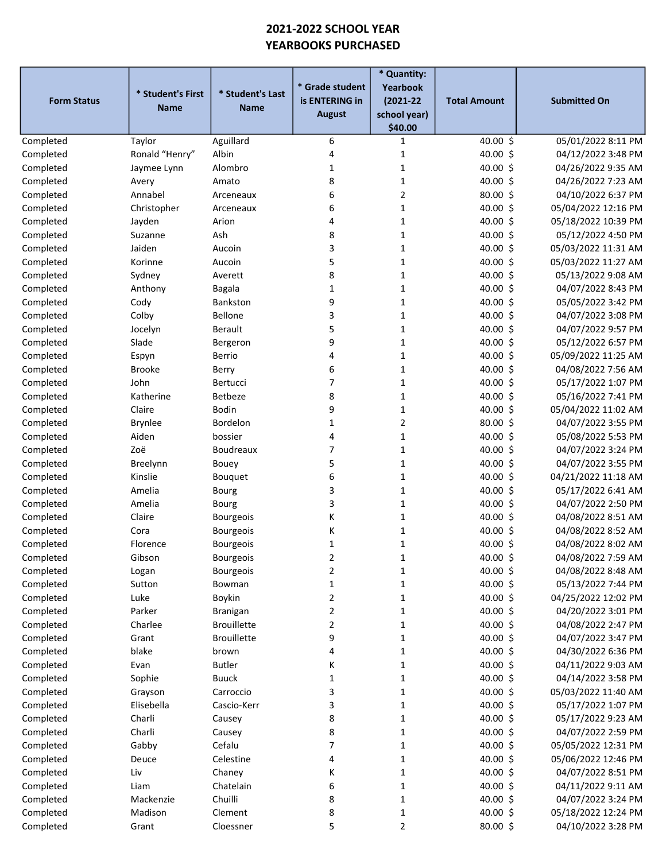## 2021-2022 SCHOOL YEAR YEARBOOKS PURCHASED

| <b>Form Status</b> | * Student's First<br><b>Name</b> | * Student's Last<br><b>Name</b> | * Grade student<br>is ENTERING in<br><b>August</b> | * Quantity:<br>Yearbook<br>$(2021 - 22)$<br>school year)<br>\$40.00 | <b>Total Amount</b> | <b>Submitted On</b> |
|--------------------|----------------------------------|---------------------------------|----------------------------------------------------|---------------------------------------------------------------------|---------------------|---------------------|
| Completed          | Taylor                           | Aguillard                       | 6                                                  | 1                                                                   | 40.00 \$            | 05/01/2022 8:11 PM  |
| Completed          | Ronald "Henry"                   | Albin                           | 4                                                  | 1                                                                   | $40.00$ \$          | 04/12/2022 3:48 PM  |
| Completed          | Jaymee Lynn                      | Alombro                         | 1                                                  | 1                                                                   | 40.00 \$            | 04/26/2022 9:35 AM  |
| Completed          | Avery                            | Amato                           | 8                                                  | $\mathbf{1}$                                                        | 40.00 \$            | 04/26/2022 7:23 AM  |
| Completed          | Annabel                          | Arceneaux                       | 6                                                  | $\overline{2}$                                                      | 80.00 \$            | 04/10/2022 6:37 PM  |
| Completed          | Christopher                      | Arceneaux                       | 6                                                  | $\mathbf{1}$                                                        | 40.00 \$            | 05/04/2022 12:16 PM |
| Completed          | Jayden                           | Arion                           | 4                                                  | 1                                                                   | 40.00 \$            | 05/18/2022 10:39 PM |
| Completed          | Suzanne                          | Ash                             | 8                                                  | $\mathbf{1}$                                                        | 40.00 \$            | 05/12/2022 4:50 PM  |
| Completed          | Jaiden                           | Aucoin                          | 3                                                  | $\mathbf{1}$                                                        | 40.00 \$            | 05/03/2022 11:31 AM |
| Completed          | Korinne                          | Aucoin                          | 5                                                  | $\mathbf{1}$                                                        | 40.00 \$            | 05/03/2022 11:27 AM |
| Completed          | Sydney                           | Averett                         | 8                                                  | 1                                                                   | $40.00$ \$          | 05/13/2022 9:08 AM  |
| Completed          | Anthony                          | Bagala                          | 1                                                  | 1                                                                   | $40.00$ \$          | 04/07/2022 8:43 PM  |
| Completed          | Cody                             | Bankston                        | 9                                                  | 1                                                                   | 40.00 \$            | 05/05/2022 3:42 PM  |
| Completed          | Colby                            | Bellone                         | 3                                                  | $\mathbf{1}$                                                        | 40.00 \$            | 04/07/2022 3:08 PM  |
| Completed          | Jocelyn                          | Berault                         | 5                                                  | 1                                                                   | 40.00 \$            | 04/07/2022 9:57 PM  |
| Completed          | Slade                            | Bergeron                        | 9                                                  | 1                                                                   | $40.00$ \$          | 05/12/2022 6:57 PM  |
| Completed          | Espyn                            | Berrio                          | 4                                                  | 1                                                                   | 40.00 \$            | 05/09/2022 11:25 AM |
| Completed          | <b>Brooke</b>                    | Berry                           | 6                                                  | 1                                                                   | 40.00 \$            | 04/08/2022 7:56 AM  |
| Completed          | John                             | Bertucci                        | 7                                                  | 1                                                                   | 40.00 \$            | 05/17/2022 1:07 PM  |
| Completed          | Katherine                        | Betbeze                         | 8                                                  | 1                                                                   | 40.00 \$            | 05/16/2022 7:41 PM  |
| Completed          | Claire                           | Bodin                           | 9                                                  | $\mathbf 1$                                                         | 40.00 \$            | 05/04/2022 11:02 AM |
| Completed          | <b>Brynlee</b>                   | Bordelon                        | 1                                                  | $\overline{2}$                                                      | 80.00 \$            | 04/07/2022 3:55 PM  |
| Completed          | Aiden                            | bossier                         | 4                                                  | $\mathbf{1}$                                                        | 40.00 \$            | 05/08/2022 5:53 PM  |
| Completed          | Zoë                              | <b>Boudreaux</b>                | 7                                                  | $\mathbf{1}$                                                        | 40.00 \$            | 04/07/2022 3:24 PM  |
| Completed          | Breelynn                         | Bouey                           | 5                                                  | $\mathbf{1}$                                                        | 40.00 \$            | 04/07/2022 3:55 PM  |
| Completed          | Kinslie                          | Bouquet                         | 6                                                  | $\mathbf{1}$                                                        | 40.00 \$            | 04/21/2022 11:18 AM |
| Completed          | Amelia                           | Bourg                           | 3                                                  | $\mathbf{1}$                                                        | 40.00 \$            | 05/17/2022 6:41 AM  |
| Completed          | Amelia                           | Bourg                           | 3                                                  | $\mathbf{1}$                                                        | 40.00 \$            | 04/07/2022 2:50 PM  |
| Completed          | Claire                           | <b>Bourgeois</b>                | К                                                  | $\mathbf{1}$                                                        | 40.00 \$            | 04/08/2022 8:51 AM  |
| Completed          | Cora                             | <b>Bourgeois</b>                | К                                                  | $\mathbf{1}$                                                        | 40.00 \$            | 04/08/2022 8:52 AM  |
| Completed          | Florence                         | <b>Bourgeois</b>                | 1                                                  | $\mathbf{1}$                                                        | 40.00 \$            | 04/08/2022 8:02 AM  |
| Completed          | Gibson                           | Bourgeois                       | 2                                                  | 1                                                                   | 40.00 \$            | 04/08/2022 7:59 AM  |
| Completed          | Logan                            | Bourgeois                       | 2                                                  | 1                                                                   | 40.00 \$            | 04/08/2022 8:48 AM  |
| Completed          | Sutton                           | Bowman                          | 1                                                  | 1                                                                   | 40.00 \$            | 05/13/2022 7:44 PM  |
| Completed          | Luke                             | Boykin                          | 2                                                  | 1                                                                   | 40.00 \$            | 04/25/2022 12:02 PM |
| Completed          | Parker                           | <b>Branigan</b>                 | 2                                                  | 1                                                                   | 40.00 \$            | 04/20/2022 3:01 PM  |
| Completed          | Charlee                          | <b>Brouillette</b>              | 2                                                  | 1                                                                   | 40.00 \$            | 04/08/2022 2:47 PM  |
| Completed          | Grant                            | <b>Brouillette</b>              | 9                                                  | $\mathbf 1$                                                         | 40.00 \$            | 04/07/2022 3:47 PM  |
| Completed          | blake                            | brown                           | 4                                                  | $\mathbf 1$                                                         | 40.00 \$            | 04/30/2022 6:36 PM  |
| Completed          | Evan                             | <b>Butler</b>                   | K                                                  | 1                                                                   | 40.00 \$            | 04/11/2022 9:03 AM  |
| Completed          | Sophie                           | <b>Buuck</b>                    | 1                                                  | 1                                                                   | 40.00 \$            | 04/14/2022 3:58 PM  |
| Completed          | Grayson                          | Carroccio                       | 3                                                  | 1                                                                   | 40.00 \$            | 05/03/2022 11:40 AM |
| Completed          | Elisebella                       | Cascio-Kerr                     | 3                                                  | 1                                                                   | 40.00 \$            | 05/17/2022 1:07 PM  |
| Completed          | Charli                           | Causey                          | 8                                                  | 1                                                                   | 40.00 \$            | 05/17/2022 9:23 AM  |
| Completed          | Charli                           | Causey                          | 8                                                  | 1                                                                   | 40.00 \$            | 04/07/2022 2:59 PM  |
| Completed          | Gabby                            | Cefalu                          | 7                                                  | $\mathbf{1}$                                                        | 40.00 \$            | 05/05/2022 12:31 PM |
| Completed          | Deuce                            | Celestine                       | 4                                                  | 1                                                                   | 40.00 \$            | 05/06/2022 12:46 PM |
| Completed          | Liv                              | Chaney                          | K                                                  | 1                                                                   | 40.00 \$            | 04/07/2022 8:51 PM  |
| Completed          | Liam                             | Chatelain                       | 6                                                  | 1                                                                   | 40.00 \$            | 04/11/2022 9:11 AM  |
| Completed          | Mackenzie                        | Chuilli                         | 8                                                  | 1                                                                   | 40.00 \$            | 04/07/2022 3:24 PM  |
| Completed          | Madison                          | Clement                         | 8                                                  | 1                                                                   | 40.00 \$            | 05/18/2022 12:24 PM |
| Completed          | Grant                            | Cloessner                       | 5                                                  | $\mathbf 2$                                                         | 80.00 \$            | 04/10/2022 3:28 PM  |
|                    |                                  |                                 |                                                    |                                                                     |                     |                     |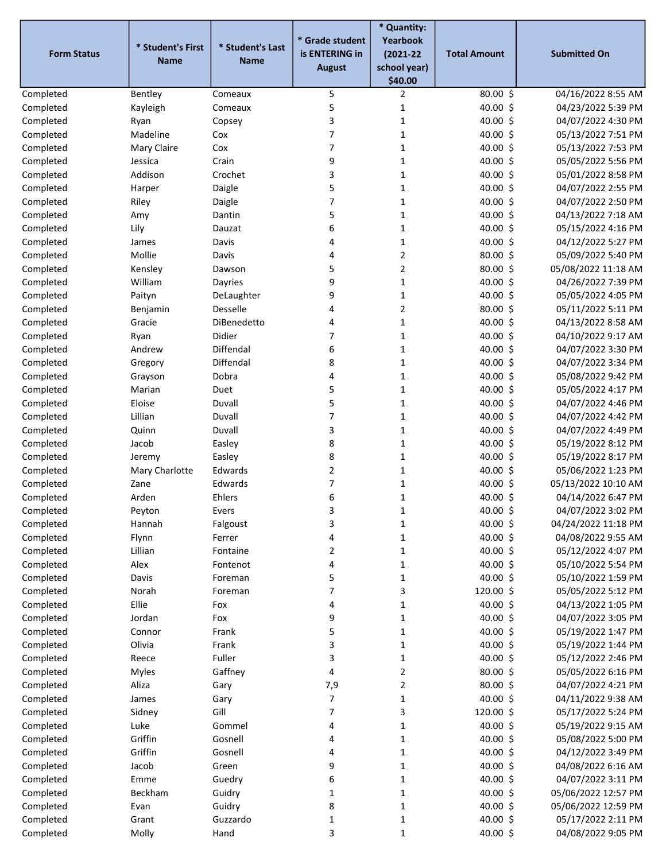|                        |                   |                         |                                   | * Quantity:               |                      |                                          |
|------------------------|-------------------|-------------------------|-----------------------------------|---------------------------|----------------------|------------------------------------------|
| <b>Form Status</b>     | * Student's First | * Student's Last        | * Grade student<br>is ENTERING in | Yearbook<br>$(2021 - 22)$ | <b>Total Amount</b>  | <b>Submitted On</b>                      |
|                        | <b>Name</b>       | <b>Name</b>             | <b>August</b>                     | school year)              |                      |                                          |
|                        |                   |                         |                                   | \$40.00                   |                      |                                          |
| Completed              | Bentley           | Comeaux                 | 5                                 | 2                         | 80.00 \$             | 04/16/2022 8:55 AM                       |
| Completed              | Kayleigh          | Comeaux                 | 5                                 | 1                         | 40.00 \$             | 04/23/2022 5:39 PM                       |
| Completed              | Ryan              | Copsey                  | 3                                 | 1                         | 40.00 \$             | 04/07/2022 4:30 PM                       |
| Completed              | Madeline          | Cox                     | $\overline{7}$                    | 1                         | 40.00 \$             | 05/13/2022 7:51 PM                       |
| Completed              | Mary Claire       | Cox                     | $\overline{7}$                    | 1                         | 40.00 \$             | 05/13/2022 7:53 PM                       |
| Completed              | Jessica           | Crain                   | 9                                 | 1                         | 40.00 \$             | 05/05/2022 5:56 PM                       |
| Completed              | Addison           | Crochet                 | 3                                 | 1                         | 40.00 \$             | 05/01/2022 8:58 PM                       |
| Completed              | Harper            | Daigle                  | 5                                 | $\mathbf{1}$              | 40.00 \$             | 04/07/2022 2:55 PM                       |
| Completed              | Riley             | Daigle                  | 7                                 | $\mathbf{1}$              | 40.00 \$             | 04/07/2022 2:50 PM                       |
| Completed              | Amy               | Dantin                  | 5                                 | $\mathbf{1}$              | 40.00 \$             | 04/13/2022 7:18 AM                       |
| Completed              | Lily              | Dauzat                  | 6                                 | $\mathbf{1}$              | 40.00 \$             | 05/15/2022 4:16 PM                       |
| Completed              | James             | Davis                   | 4                                 | $\mathbf{1}$              | 40.00 \$             | 04/12/2022 5:27 PM                       |
| Completed              | Mollie            | Davis                   | 4                                 | $\overline{2}$            | 80.00\$              | 05/09/2022 5:40 PM                       |
| Completed              | Kensley           | Dawson                  | 5                                 | $\overline{2}$            | 80.00 \$             | 05/08/2022 11:18 AM                      |
| Completed              | William           | Dayries                 | 9                                 | $\mathbf{1}$              | 40.00 \$             | 04/26/2022 7:39 PM                       |
| Completed              | Paityn            | DeLaughter              | 9                                 | 1                         | 40.00 \$             | 05/05/2022 4:05 PM                       |
| Completed              | Benjamin          | Desselle<br>DiBenedetto | $\overline{4}$                    | $\overline{2}$            | 80.00 \$             | 05/11/2022 5:11 PM                       |
| Completed              | Gracie            |                         | 4<br>$\overline{7}$               | $\mathbf{1}$              | 40.00 \$             | 04/13/2022 8:58 AM<br>04/10/2022 9:17 AM |
| Completed              | Ryan              | Didier<br>Diffendal     |                                   | $\mathbf{1}$              | 40.00 \$             |                                          |
| Completed              | Andrew            | Diffendal               | 6<br>8                            | 1                         | 40.00 \$<br>40.00 \$ | 04/07/2022 3:30 PM<br>04/07/2022 3:34 PM |
| Completed<br>Completed | Gregory           | Dobra                   | 4                                 | $\mathbf{1}$<br>1         | 40.00 \$             | 05/08/2022 9:42 PM                       |
| Completed              | Grayson<br>Marian | Duet                    | 5                                 | 1                         | 40.00 \$             | 05/05/2022 4:17 PM                       |
| Completed              | Eloise            | Duvall                  | 5                                 | $\mathbf{1}$              | 40.00 \$             | 04/07/2022 4:46 PM                       |
| Completed              | Lillian           | Duvall                  | $\overline{7}$                    | 1                         | 40.00 \$             | 04/07/2022 4:42 PM                       |
|                        |                   | Duvall                  | 3                                 | $\mathbf{1}$              | 40.00 \$             | 04/07/2022 4:49 PM                       |
| Completed              | Quinn<br>Jacob    | Easley                  | 8                                 | $\mathbf{1}$              | 40.00 \$             | 05/19/2022 8:12 PM                       |
| Completed<br>Completed | Jeremy            | Easley                  | 8                                 | 1                         | 40.00 \$             | 05/19/2022 8:17 PM                       |
| Completed              | Mary Charlotte    | Edwards                 | $\overline{2}$                    | 1                         | 40.00 \$             | 05/06/2022 1:23 PM                       |
| Completed              | Zane              | Edwards                 | $\overline{7}$                    | 1                         | 40.00 \$             | 05/13/2022 10:10 AM                      |
| Completed              | Arden             | Ehlers                  | 6                                 | $\mathbf{1}$              | 40.00 \$             | 04/14/2022 6:47 PM                       |
| Completed              | Peyton            | Evers                   | 3                                 | 1                         | 40.00 \$             | 04/07/2022 3:02 PM                       |
| Completed              | Hannah            | Falgoust                | 3                                 | 1                         | 40.00 \$             | 04/24/2022 11:18 PM                      |
| Completed              | Flynn             | Ferrer                  | 4                                 | $\mathbf{1}$              | 40.00 \$             | 04/08/2022 9:55 AM                       |
| Completed              | Lillian           | Fontaine                | $\overline{2}$                    | $\mathbf 1$               | 40.00 \$             | 05/12/2022 4:07 PM                       |
| Completed              | Alex              | Fontenot                | 4                                 | $\mathbf{1}$              | 40.00 \$             | 05/10/2022 5:54 PM                       |
| Completed              | Davis             | Foreman                 | 5                                 | $\mathbf{1}$              | 40.00 \$             | 05/10/2022 1:59 PM                       |
| Completed              | Norah             | Foreman                 | 7                                 | 3                         | 120.00 \$            | 05/05/2022 5:12 PM                       |
| Completed              | Ellie             | Fox                     | 4                                 | $\mathbf{1}$              | 40.00 \$             | 04/13/2022 1:05 PM                       |
| Completed              | Jordan            | Fox                     | 9                                 | $\mathbf{1}$              | 40.00 \$             | 04/07/2022 3:05 PM                       |
| Completed              | Connor            | Frank                   | 5                                 | $\mathbf{1}$              | 40.00 \$             | 05/19/2022 1:47 PM                       |
| Completed              | Olivia            | Frank                   | 3                                 | $\mathbf 1$               | 40.00 \$             | 05/19/2022 1:44 PM                       |
| Completed              | Reece             | Fuller                  | 3                                 | $\mathbf 1$               | 40.00 \$             | 05/12/2022 2:46 PM                       |
| Completed              | Myles             | Gaffney                 | $\pmb{4}$                         | $\overline{2}$            | 80.00 \$             | 05/05/2022 6:16 PM                       |
| Completed              | Aliza             | Gary                    | 7,9                               | $\mathbf 2$               | 80.00 \$             | 04/07/2022 4:21 PM                       |
| Completed              | James             | Gary                    | $\overline{7}$                    | $\mathbf 1$               | 40.00 \$             | 04/11/2022 9:38 AM                       |
| Completed              | Sidney            | Gill                    | $\overline{7}$                    | 3                         | 120.00 \$            | 05/17/2022 5:24 PM                       |
| Completed              | Luke              | Gommel                  | 4                                 | $\mathbf 1$               | 40.00 \$             | 05/19/2022 9:15 AM                       |
| Completed              | Griffin           | Gosnell                 | 4                                 | $\mathbf{1}$              | 40.00 \$             | 05/08/2022 5:00 PM                       |
| Completed              | Griffin           | Gosnell                 | 4                                 | $\mathbf{1}$              | 40.00 \$             | 04/12/2022 3:49 PM                       |
| Completed              | Jacob             | Green                   | 9                                 | $\mathbf 1$               | 40.00 \$             | 04/08/2022 6:16 AM                       |
| Completed              | Emme              | Guedry                  | 6                                 | $\mathbf 1$               | 40.00 \$             | 04/07/2022 3:11 PM                       |
| Completed              | Beckham           | Guidry                  | $\mathbf 1$                       | $\mathbf{1}$              | 40.00 \$             | 05/06/2022 12:57 PM                      |
| Completed              | Evan              | Guidry                  | 8                                 | $\mathbf{1}$              | 40.00 \$             | 05/06/2022 12:59 PM                      |
| Completed              | Grant             | Guzzardo                | 1                                 | $\mathbf{1}$              | 40.00 \$             | 05/17/2022 2:11 PM                       |
| Completed              | Molly             | Hand                    | 3                                 | $\mathbf 1$               | 40.00 \$             | 04/08/2022 9:05 PM                       |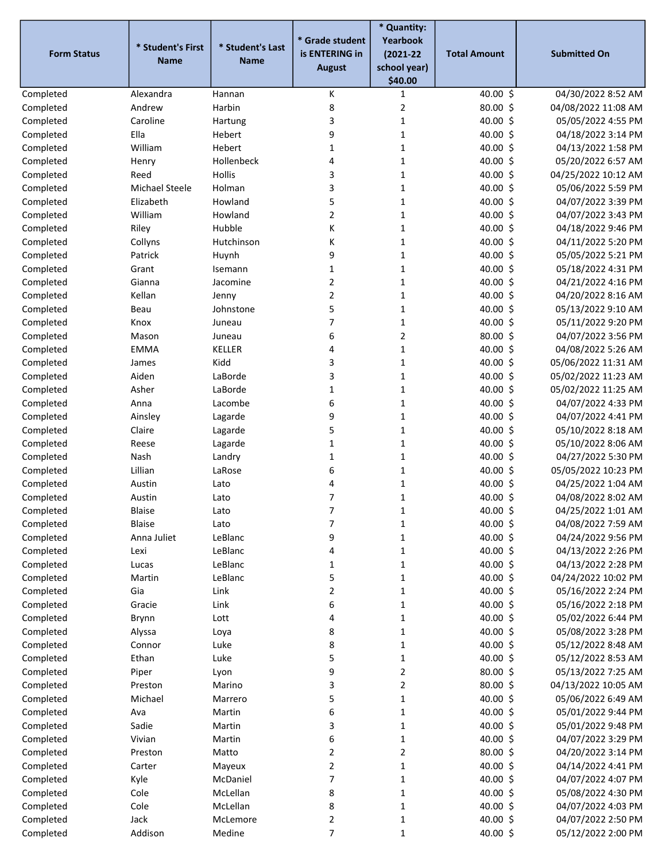|                    |                   |                  |                 | * Quantity:             |                     |                     |
|--------------------|-------------------|------------------|-----------------|-------------------------|---------------------|---------------------|
|                    | * Student's First | * Student's Last | * Grade student | Yearbook                |                     |                     |
| <b>Form Status</b> | <b>Name</b>       | <b>Name</b>      | is ENTERING in  | $(2021 - 22)$           | <b>Total Amount</b> | <b>Submitted On</b> |
|                    |                   |                  | <b>August</b>   | school year)<br>\$40.00 |                     |                     |
| Completed          | Alexandra         | Hannan           | К               | 1                       | 40.00 \$            | 04/30/2022 8:52 AM  |
| Completed          | Andrew            | Harbin           | 8               | $\overline{2}$          | 80.00 \$            | 04/08/2022 11:08 AM |
| Completed          | Caroline          | Hartung          | 3               | $\mathbf 1$             | 40.00 \$            | 05/05/2022 4:55 PM  |
| Completed          | Ella              | Hebert           | 9               | 1                       | 40.00 \$            | 04/18/2022 3:14 PM  |
| Completed          | William           | Hebert           | $\mathbf{1}$    | 1                       | 40.00 \$            | 04/13/2022 1:58 PM  |
| Completed          | Henry             | Hollenbeck       | 4               | 1                       | 40.00 \$            | 05/20/2022 6:57 AM  |
| Completed          | Reed              | <b>Hollis</b>    | 3               | 1                       | 40.00 \$            | 04/25/2022 10:12 AM |
| Completed          | Michael Steele    | Holman           | 3               | 1                       | 40.00 \$            | 05/06/2022 5:59 PM  |
| Completed          | Elizabeth         | Howland          | 5               | $\mathbf 1$             | 40.00 \$            | 04/07/2022 3:39 PM  |
| Completed          | William           | Howland          | $\overline{2}$  | $\mathbf 1$             | 40.00 \$            | 04/07/2022 3:43 PM  |
| Completed          | Riley             | Hubble           | К               | $\mathbf 1$             | 40.00 \$            | 04/18/2022 9:46 PM  |
| Completed          | Collyns           | Hutchinson       | К               | $\mathbf 1$             | 40.00 \$            | 04/11/2022 5:20 PM  |
| Completed          | Patrick           | Huynh            | 9               | 1                       | 40.00 \$            | 05/05/2022 5:21 PM  |
| Completed          | Grant             | Isemann          | $\mathbf{1}$    | 1                       | 40.00 \$            | 05/18/2022 4:31 PM  |
| Completed          | Gianna            | Jacomine         | $\overline{2}$  | $\mathbf 1$             | 40.00 \$            | 04/21/2022 4:16 PM  |
| Completed          | Kellan            | Jenny            | $\overline{2}$  | 1                       | 40.00 \$            | 04/20/2022 8:16 AM  |
| Completed          | Beau              | Johnstone        | 5               | $\mathbf{1}$            | 40.00 \$            | 05/13/2022 9:10 AM  |
| Completed          | Knox              | Juneau           | $\overline{7}$  | $\mathbf 1$             | 40.00 \$            | 05/11/2022 9:20 PM  |
| Completed          | Mason             | Juneau           | 6               | $\overline{2}$          | 80.00 \$            | 04/07/2022 3:56 PM  |
| Completed          | <b>EMMA</b>       | <b>KELLER</b>    | 4               | $\mathbf 1$             | 40.00 \$            | 04/08/2022 5:26 AM  |
| Completed          | James             | Kidd             | 3               | 1                       | 40.00 \$            | 05/06/2022 11:31 AM |
| Completed          | Aiden             | LaBorde          | 3               | $\mathbf{1}$            | 40.00 \$            | 05/02/2022 11:23 AM |
| Completed          | Asher             | LaBorde          | 1               | 1                       | 40.00 \$            | 05/02/2022 11:25 AM |
| Completed          | Anna              | Lacombe          | 6               | 1                       | 40.00 \$            | 04/07/2022 4:33 PM  |
| Completed          | Ainsley           | Lagarde          | 9               | $\mathbf{1}$            | 40.00 \$            | 04/07/2022 4:41 PM  |
| Completed          | Claire            | Lagarde          | 5               | 1                       | 40.00 \$            | 05/10/2022 8:18 AM  |
| Completed          | Reese             | Lagarde          | $\mathbf 1$     | $\mathbf 1$             | 40.00 \$            | 05/10/2022 8:06 AM  |
| Completed          | Nash              | Landry           | $\mathbf 1$     | $\mathbf 1$             | 40.00 \$            | 04/27/2022 5:30 PM  |
| Completed          | Lillian           | LaRose           | 6               | $\mathbf 1$             | 40.00 \$            | 05/05/2022 10:23 PM |
| Completed          | Austin            | Lato             | 4               | $\mathbf{1}$            | 40.00 \$            | 04/25/2022 1:04 AM  |
| Completed          | Austin            | Lato             | 7               | 1                       | 40.00 \$            | 04/08/2022 8:02 AM  |
| Completed          | Blaise            | Lato             |                 | 1                       | $40.00\,$ \$        | 04/25/2022 1:01 AM  |
| Completed          | Blaise            | Lato             | 7               | 1                       | 40.00 \$            | 04/08/2022 7:59 AM  |
| Completed          | Anna Juliet       | LeBlanc          | 9               | $\mathbf 1$             | 40.00 \$            | 04/24/2022 9:56 PM  |
| Completed          | Lexi              | LeBlanc          | 4               | $\mathbf{1}$            | 40.00 \$            | 04/13/2022 2:26 PM  |
| Completed          | Lucas             | LeBlanc          | 1               | $\mathbf 1$             | 40.00 \$            | 04/13/2022 2:28 PM  |
| Completed          | Martin            | LeBlanc          | 5               | $\mathbf{1}$            | 40.00 \$            | 04/24/2022 10:02 PM |
| Completed          | Gia               | Link             | $\overline{2}$  | $\mathbf 1$             | 40.00 \$            | 05/16/2022 2:24 PM  |
| Completed          | Gracie            | Link             | 6               | $\mathbf{1}$            | 40.00 \$            | 05/16/2022 2:18 PM  |
| Completed          | Brynn             | Lott             | 4               | $\mathbf{1}$            | 40.00 \$            | 05/02/2022 6:44 PM  |
| Completed          | Alyssa            | Loya             | 8               | $\mathbf{1}$            | 40.00 \$            | 05/08/2022 3:28 PM  |
| Completed          | Connor            | Luke             | 8               | $\mathbf{1}$            | 40.00 \$            | 05/12/2022 8:48 AM  |
| Completed          | Ethan             | Luke             | 5               | $\mathbf 1$             | 40.00 \$            | 05/12/2022 8:53 AM  |
| Completed          | Piper             | Lyon             | 9               | $\overline{2}$          | 80.00\$             | 05/13/2022 7:25 AM  |
| Completed          | Preston           | Marino           | 3               | $\mathbf 2$             | 80.00 \$            | 04/13/2022 10:05 AM |
| Completed          | Michael           | Marrero          | 5               | $\mathbf 1$             | 40.00 \$            | 05/06/2022 6:49 AM  |
| Completed          | Ava               | Martin           | 6               | $\mathbf{1}$            | 40.00 \$            | 05/01/2022 9:44 PM  |
| Completed          | Sadie             | Martin           | 3               | $\mathbf{1}$            | 40.00 \$            | 05/01/2022 9:48 PM  |
| Completed          | Vivian            | Martin           | 6               | $\mathbf{1}$            | 40.00 \$            | 04/07/2022 3:29 PM  |
| Completed          | Preston           | Matto            | $\overline{2}$  | $\overline{2}$          | 80.00\$             | 04/20/2022 3:14 PM  |
| Completed          | Carter            | Mayeux           | $\overline{2}$  | $\mathbf 1$             | 40.00 \$            | 04/14/2022 4:41 PM  |
| Completed          | Kyle              | McDaniel         | $\overline{7}$  | $\mathbf 1$             | 40.00 \$            | 04/07/2022 4:07 PM  |
| Completed          | Cole              | McLellan         | 8               | $\mathbf 1$             | 40.00 \$            | 05/08/2022 4:30 PM  |
| Completed          | Cole              | McLellan         | 8               | $\mathbf{1}$            | 40.00 \$            | 04/07/2022 4:03 PM  |
| Completed          | Jack              | McLemore         | $\overline{2}$  | 1                       | 40.00 \$            | 04/07/2022 2:50 PM  |
| Completed          | Addison           | Medine           | $\overline{7}$  | $\mathbf 1$             | 40.00 \$            | 05/12/2022 2:00 PM  |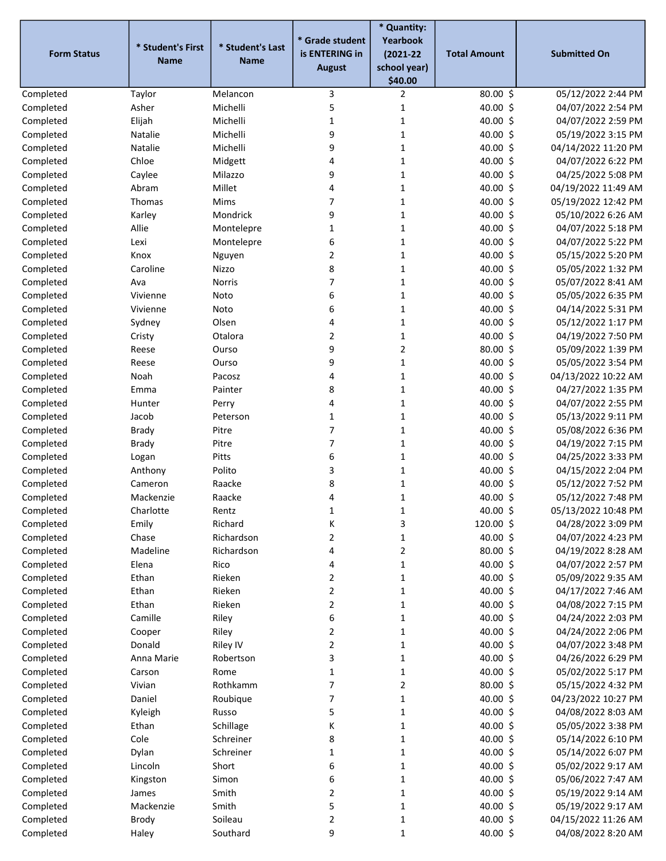|                    |                   |                  |                                   | * Quantity:               |                     |                     |
|--------------------|-------------------|------------------|-----------------------------------|---------------------------|---------------------|---------------------|
| <b>Form Status</b> | * Student's First | * Student's Last | * Grade student<br>is ENTERING in | Yearbook<br>$(2021 - 22)$ | <b>Total Amount</b> | <b>Submitted On</b> |
|                    | <b>Name</b>       | <b>Name</b>      | <b>August</b>                     | school year)              |                     |                     |
|                    |                   |                  |                                   | \$40.00                   |                     |                     |
| Completed          | Taylor            | Melancon         | 3                                 | 2                         | $80.00$ \$          | 05/12/2022 2:44 PM  |
| Completed          | Asher             | Michelli         | 5                                 | $\mathbf{1}$              | 40.00 \$            | 04/07/2022 2:54 PM  |
| Completed          | Elijah            | Michelli         | $\mathbf{1}$                      | $\mathbf{1}$              | 40.00 \$            | 04/07/2022 2:59 PM  |
| Completed          | Natalie           | Michelli         | 9                                 | $\mathbf{1}$              | 40.00 \$            | 05/19/2022 3:15 PM  |
| Completed          | Natalie           | Michelli         | 9                                 | 1                         | 40.00 \$            | 04/14/2022 11:20 PM |
| Completed          | Chloe             | Midgett          | 4                                 | 1                         | 40.00 \$            | 04/07/2022 6:22 PM  |
| Completed          | Caylee            | Milazzo          | 9                                 | $\mathbf{1}$              | 40.00 \$            | 04/25/2022 5:08 PM  |
| Completed          | Abram             | Millet           | 4                                 | $\mathbf{1}$              | 40.00 \$            | 04/19/2022 11:49 AM |
| Completed          | Thomas            | Mims             | 7                                 | $\mathbf{1}$              | 40.00 \$            | 05/19/2022 12:42 PM |
| Completed          | Karley            | Mondrick         | 9                                 | $\mathbf{1}$              | 40.00 \$            | 05/10/2022 6:26 AM  |
| Completed          | Allie             | Montelepre       | $\mathbf{1}$                      | $\mathbf{1}$              | 40.00 \$            | 04/07/2022 5:18 PM  |
| Completed          | Lexi              | Montelepre       | 6                                 | $\mathbf{1}$              | 40.00 \$            | 04/07/2022 5:22 PM  |
| Completed          | Knox              | Nguyen           | $\overline{2}$                    | 1                         | 40.00 \$            | 05/15/2022 5:20 PM  |
| Completed          | Caroline          | Nizzo            | 8                                 | 1                         | 40.00 \$            | 05/05/2022 1:32 PM  |
| Completed          | Ava               | Norris           | $\overline{7}$                    | $\mathbf 1$               | 40.00 \$            | 05/07/2022 8:41 AM  |
| Completed          | Vivienne          | Noto             | 6                                 | 1                         | 40.00 \$            | 05/05/2022 6:35 PM  |
| Completed          | Vivienne          | Noto             | 6                                 | 1                         | 40.00 \$            | 04/14/2022 5:31 PM  |
| Completed          | Sydney            | Olsen            | 4                                 | $\mathbf 1$               | 40.00 \$            | 05/12/2022 1:17 PM  |
| Completed          | Cristy            | Otalora          | 2                                 | $\mathbf 1$               | 40.00 \$            | 04/19/2022 7:50 PM  |
| Completed          | Reese             | Ourso            | 9                                 | $\overline{2}$            | 80.00\$             | 05/09/2022 1:39 PM  |
| Completed          | Reese             | Ourso            | 9                                 | $\mathbf{1}$              | 40.00 \$            | 05/05/2022 3:54 PM  |
| Completed          | Noah              | Pacosz           | 4                                 | 1                         | 40.00 \$            | 04/13/2022 10:22 AM |
| Completed          | Emma              | Painter          | 8                                 | 1                         | 40.00 \$            | 04/27/2022 1:35 PM  |
| Completed          | Hunter            | Perry            | 4                                 | 1                         | 40.00 \$            | 04/07/2022 2:55 PM  |
| Completed          | Jacob             | Peterson         | 1                                 | 1                         | 40.00 \$            | 05/13/2022 9:11 PM  |
| Completed          | <b>Brady</b>      | Pitre            | 7                                 | $\mathbf 1$               | 40.00 \$            | 05/08/2022 6:36 PM  |
| Completed          | <b>Brady</b>      | Pitre            | 7                                 | $\mathbf{1}$              | 40.00 \$            | 04/19/2022 7:15 PM  |
| Completed          | Logan             | Pitts            | 6                                 | $\mathbf{1}$              | 40.00 \$            | 04/25/2022 3:33 PM  |
| Completed          | Anthony           | Polito           | 3                                 | $\mathbf{1}$              | 40.00 \$            | 04/15/2022 2:04 PM  |
| Completed          | Cameron           | Raacke           | 8                                 | 1                         | 40.00 \$            | 05/12/2022 7:52 PM  |
| Completed          | Mackenzie         | Raacke           | 4                                 | $\mathbf{1}$              | 40.00 \$            | 05/12/2022 7:48 PM  |
| Completed          | Charlotte         | Rentz            | 1                                 | 1                         | 40.00 \$            | 05/13/2022 10:48 PM |
| Completed          | Emily             | Richard          | K                                 | 3                         | 120.00 \$           | 04/28/2022 3:09 PM  |
| Completed          | Chase             | Richardson       | 2                                 | $\mathbf 1$               | 40.00 \$            | 04/07/2022 4:23 PM  |
| Completed          | Madeline          | Richardson       | 4                                 | $\overline{2}$            | 80.00\$             | 04/19/2022 8:28 AM  |
| Completed          | Elena             | Rico             | 4                                 | $\mathbf{1}$              | 40.00 \$            | 04/07/2022 2:57 PM  |
| Completed          | Ethan             | Rieken           | 2                                 | $\mathbf{1}$              | 40.00 \$            | 05/09/2022 9:35 AM  |
| Completed          | Ethan             | Rieken           | 2                                 | $\mathbf{1}$              | 40.00 \$            | 04/17/2022 7:46 AM  |
| Completed          | Ethan             | Rieken           | $\overline{2}$                    | $\mathbf{1}$              | 40.00 \$            | 04/08/2022 7:15 PM  |
| Completed          | Camille           | Riley            | 6                                 | $\mathbf{1}$              | 40.00 \$            | 04/24/2022 2:03 PM  |
| Completed          | Cooper            | Riley            | $\overline{\mathbf{c}}$           | $\mathbf{1}$              | 40.00 \$            | 04/24/2022 2:06 PM  |
| Completed          | Donald            | Riley IV         | 2                                 | $\mathbf{1}$              | 40.00 \$            | 04/07/2022 3:48 PM  |
| Completed          | Anna Marie        | Robertson        | 3                                 | $\mathbf 1$               | 40.00 \$            | 04/26/2022 6:29 PM  |
| Completed          | Carson            | Rome             | $\mathbf 1$                       | $\mathbf 1$               | 40.00 \$            | 05/02/2022 5:17 PM  |
| Completed          | Vivian            | Rothkamm         | $\overline{7}$                    | $\mathbf 2$               | 80.00\$             | 05/15/2022 4:32 PM  |
| Completed          | Daniel            | Roubique         | 7                                 | $\mathbf 1$               | 40.00 \$            | 04/23/2022 10:27 PM |
| Completed          | Kyleigh           | Russo            | 5                                 | $\mathbf 1$               | 40.00 \$            | 04/08/2022 8:03 AM  |
| Completed          | Ethan             | Schillage        | K                                 | $\mathbf 1$               | 40.00 \$            | 05/05/2022 3:38 PM  |
| Completed          | Cole              | Schreiner        | 8                                 | $\mathbf{1}$              | 40.00 \$            | 05/14/2022 6:10 PM  |
| Completed          | Dylan             | Schreiner        | 1                                 | $\mathbf{1}$              | 40.00 \$            | 05/14/2022 6:07 PM  |
| Completed          | Lincoln           | Short            | 6                                 | $\mathbf 1$               | 40.00 \$            | 05/02/2022 9:17 AM  |
| Completed          | Kingston          | Simon            | 6                                 | $\mathbf 1$               | 40.00 \$            | 05/06/2022 7:47 AM  |
| Completed          | James             | Smith            | 2                                 | $\mathbf{1}$              | 40.00 \$            | 05/19/2022 9:14 AM  |
| Completed          | Mackenzie         | Smith            | 5                                 | $\mathbf{1}$              | 40.00 \$            | 05/19/2022 9:17 AM  |
| Completed          | Brody             | Soileau          | 2                                 | $\mathbf{1}$              | 40.00 \$            | 04/15/2022 11:26 AM |
| Completed          | Haley             | Southard         | 9                                 | $\mathbf{1}$              | 40.00 \$            | 04/08/2022 8:20 AM  |